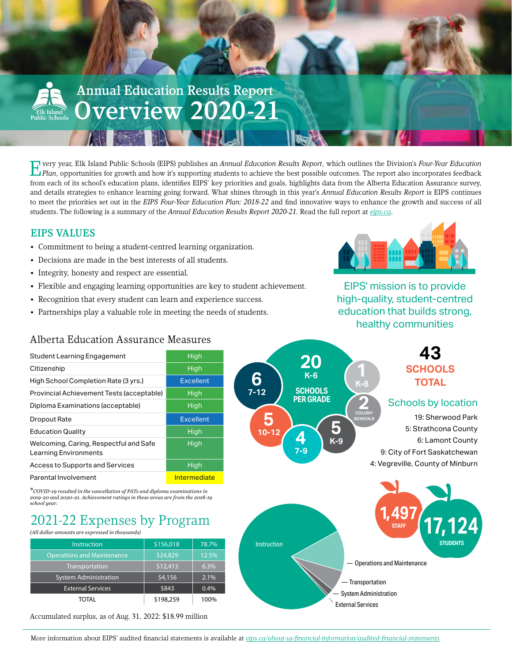

F very year, Elk Island Public Schools (EIPS) publishes an Annual Education Results Report, which outlines the Division's Four-Year Education Plan, opportunities for growth and how it's supporting students to achieve the b from each of its school's education plans, identifies EIPS' key priorities and goals, highlights data from the Alberta Education Assurance survey, and details strategies to enhance learning going forward. What shines through in this year's *Annual Education Results Report* is EIPS continues to meet the priorities set out in the *EIPS Four-Year Education Plan: 2018-22* and find innovative ways to enhance the growth and success of all students. The following is a summary of the *Annual Education Results Report 2020-21.* Read the full report at *[eips.ca](https://www.eips.ca/about-us/planning-and-results)*.

# EIPS VALUES

- Commitment to being a student-centred learning organization.
- Decisions are made in the best interests of all students.
- Integrity, honesty and respect are essential.
- Flexible and engaging learning opportunities are key to student achievement.
- Recognition that every student can learn and experience success.
- Partnerships play a valuable role in meeting the needs of students.



EIPS' mission is to provide high-quality, student-centred education that builds strong, healthy communities

# Alberta Education Assurance Measures

| Student Learning Engagement                                     | High             |  |  |
|-----------------------------------------------------------------|------------------|--|--|
| Citizenship                                                     | High             |  |  |
| High School Completion Rate (3 yrs.)                            | Excellent        |  |  |
| Provincial Achievement Tests (acceptable)                       | High             |  |  |
| Diploma Examinations (acceptable)                               | High             |  |  |
| Dropout Rate                                                    | <b>Excellent</b> |  |  |
| <b>Education Quality</b>                                        | High             |  |  |
| Welcoming, Caring, Respectful and Safe<br>Learning Environments | High             |  |  |
| Access to Supports and Services                                 | High             |  |  |
| Parental Involvement                                            | Intermediate     |  |  |

\**COVID-19 resulted in the cancellation of PATs and diploma examinations in 2019-20 and 2020-21. Achievement ratings in these areas are from the 2018-19 school year.*

# 2021-22 Expenses by Program

*(All dollar amounts are expressed in thousands)*

| <b>Instruction</b>                | \$156,018 | 78.7% | <b>Instruction</b> |                                                                                                   |
|-----------------------------------|-----------|-------|--------------------|---------------------------------------------------------------------------------------------------|
| <b>Operations and Maintenance</b> | \$24,829  | 12.5% |                    |                                                                                                   |
| Transportation                    | \$12,413  | 6.3%  |                    | $-$ Operations and N                                                                              |
| <b>System Administration</b>      | \$4,156   | 2.1%  |                    | - Transportation                                                                                  |
| <b>External Services</b>          | \$843     | 0.4%  |                    |                                                                                                   |
| TOTAL                             | \$198,259 | 100%  |                    | - System Administration<br>$\Gamma$ . It is a set $\Omega$ is a set $\Omega$ is a set of $\Omega$ |

Accumulated surplus, as of Aug. 31, 2022: \$18.99 million



More information about EIPS' audited financial statements is available at *[eips.ca/about-us/financial-information/audited-financial-statements](https://www.eips.ca/about-us/financial-information/audited-financial-statements)*